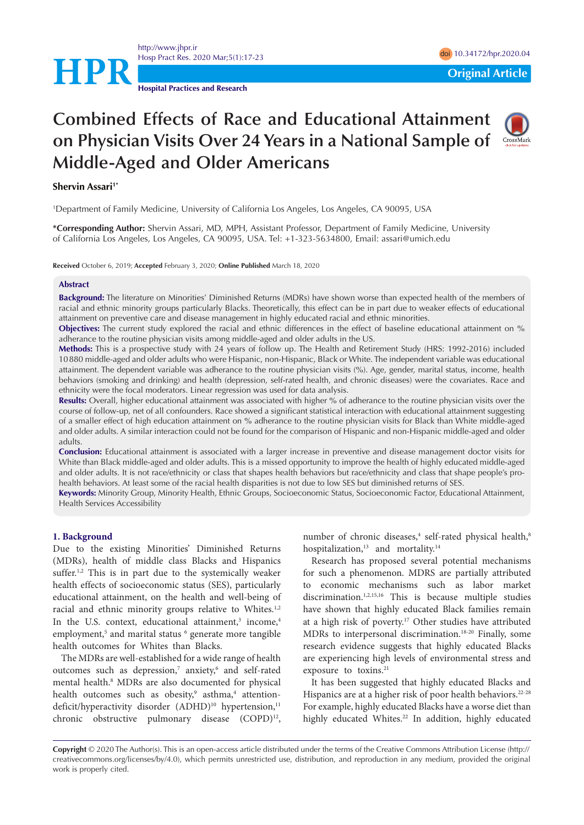

**Hospital Practices and Research**

# **Combined Effects of Race and Educational Attainment on Physician Visits Over 24 Years in a National Sample of Middle-Aged and Older Americans**



# **Shervin Assari<sup>1\*</sup>**

1 Department of Family Medicine, University of California Los Angeles, Los Angeles, CA 90095, USA

**\*Corresponding Author:** Shervin Assari, MD, MPH, Assistant Professor, Department of Family Medicine, University of California Los Angeles, Los Angeles, CA 90095, USA. Tel: +1-323-5634800, Email: assari@umich.edu

**Received** October 6, 2019; **Accepted** February 3, 2020; **Online Published** March 18, 2020

#### **Abstract**

**Background:** The literature on Minorities' Diminished Returns (MDRs) have shown worse than expected health of the members of racial and ethnic minority groups particularly Blacks. Theoretically, this effect can be in part due to weaker effects of educational attainment on preventive care and disease management in highly educated racial and ethnic minorities.

**Objectives:** The current study explored the racial and ethnic differences in the effect of baseline educational attainment on % adherance to the routine physician visits among middle-aged and older adults in the US.

**Methods:** This is a prospective study with 24 years of follow up. The Health and Retirement Study (HRS: 1992-2016) included 10880 middle-aged and older adults who were Hispanic, non-Hispanic, Black or White. The independent variable was educational attainment. The dependent variable was adherance to the routine physician visits (%). Age, gender, marital status, income, health behaviors (smoking and drinking) and health (depression, self-rated health, and chronic diseases) were the covariates. Race and ethnicity were the focal moderators. Linear regression was used for data analysis.

**Results:** Overall, higher educational attainment was associated with higher % of adherance to the routine physician visits over the course of follow-up, net of all confounders. Race showed a significant statistical interaction with educational attainment suggesting of a smaller effect of high education attainment on % adherance to the routine physician visits for Black than White middle-aged and older adults. A similar interaction could not be found for the comparison of Hispanic and non-Hispanic middle-aged and older adults.

**Conclusion:** Educational attainment is associated with a larger increase in preventive and disease management doctor visits for White than Black middle-aged and older adults. This is a missed opportunity to improve the health of highly educated middle-aged and older adults. It is not race/ethnicity or class that shapes health behaviors but race/ethnicity and class that shape people's prohealth behaviors. At least some of the racial health disparities is not due to low SES but diminished returns of SES.

**Keywords:** Minority Group, Minority Health, Ethnic Groups, Socioeconomic Status, Socioeconomic Factor, Educational Attainment, Health Services Accessibility

#### **1. Background**

Due to the existing Minorities' Diminished Returns (MDRs), health of middle class Blacks and Hispanics suffer.<sup>1,2</sup> This is in part due to the systemically weaker health effects of socioeconomic status (SES), particularly educational attainment, on the health and well-being of racial and ethnic minority groups relative to Whites.<sup>1,2</sup> In the U.S. context, educational attainment,<sup>3</sup> income,<sup>4</sup> employment,<sup>5</sup> and marital status <sup>6</sup> generate more tangible health outcomes for Whites than Blacks.

The MDRs are well-established for a wide range of health outcomes such as depression,<sup>7</sup> anxiety,<sup>6</sup> and self-rated mental health.8 MDRs are also documented for physical health outcomes such as obesity,<sup>9</sup> asthma,<sup>4</sup> attentiondeficit/hyperactivity disorder (ADHD)<sup>10</sup> hypertension,<sup>11</sup> chronic obstructive pulmonary disease (COPD)<sup>12</sup>,

number of chronic diseases,<sup>4</sup> self-rated physical health,<sup>8</sup> hospitalization,<sup>13</sup> and mortality.<sup>14</sup>

Research has proposed several potential mechanisms for such a phenomenon. MDRS are partially attributed to economic mechanisms such as labor market discrimination.<sup>1,2,15,16</sup> This is because multiple studies have shown that highly educated Black families remain at a high risk of poverty.17 Other studies have attributed MDRs to interpersonal discrimination.18-20 Finally, some research evidence suggests that highly educated Blacks are experiencing high levels of environmental stress and exposure to toxins.<sup>21</sup>

It has been suggested that highly educated Blacks and Hispanics are at a higher risk of poor health behaviors.<sup>22-28</sup> For example, highly educated Blacks have a worse diet than highly educated Whites.<sup>22</sup> In addition, highly educated

**Copyright** © 2020 The Author(s). This is an open-access article distributed under the terms of the Creative Commons Attribution License (http:// creativecommons.org/licenses/by/4.0), which permits unrestricted use, distribution, and reproduction in any medium, provided the original work is properly cited.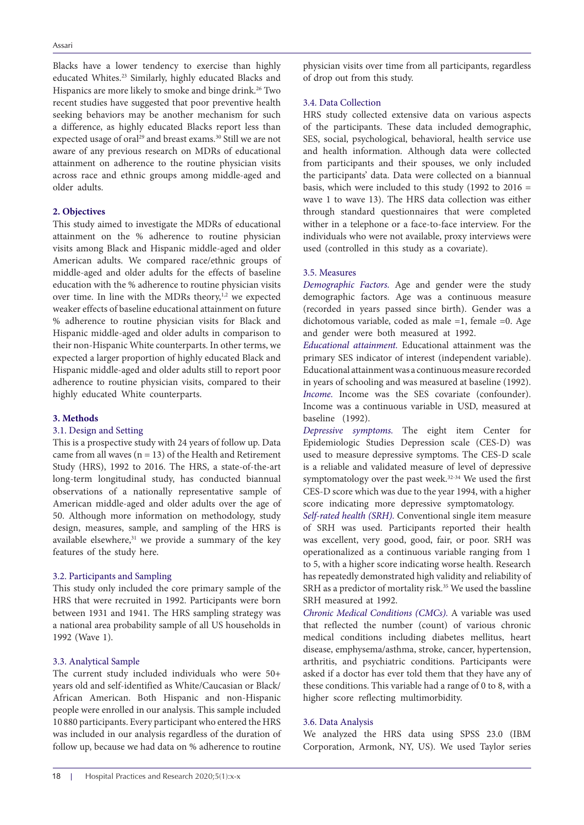Blacks have a lower tendency to exercise than highly educated Whites.23 Similarly, highly educated Blacks and Hispanics are more likely to smoke and binge drink.<sup>26</sup> Two recent studies have suggested that poor preventive health seeking behaviors may be another mechanism for such a difference, as highly educated Blacks report less than expected usage of oral<sup>29</sup> and breast exams.<sup>30</sup> Still we are not aware of any previous research on MDRs of educational attainment on adherence to the routine physician visits across race and ethnic groups among middle-aged and older adults.

# **2. Objectives**

This study aimed to investigate the MDRs of educational attainment on the % adherence to routine physician visits among Black and Hispanic middle-aged and older American adults. We compared race/ethnic groups of middle-aged and older adults for the effects of baseline education with the % adherence to routine physician visits over time. In line with the MDRs theory, $1,2$  we expected weaker effects of baseline educational attainment on future % adherence to routine physician visits for Black and Hispanic middle-aged and older adults in comparison to their non-Hispanic White counterparts. In other terms, we expected a larger proportion of highly educated Black and Hispanic middle-aged and older adults still to report poor adherence to routine physician visits, compared to their highly educated White counterparts.

#### **3. Methods**

## 3.1. Design and Setting

This is a prospective study with 24 years of follow up. Data came from all waves ( $n = 13$ ) of the Health and Retirement Study (HRS), 1992 to 2016. The HRS, a state-of-the-art long-term longitudinal study, has conducted biannual observations of a nationally representative sample of American middle-aged and older adults over the age of 50. Although more information on methodology, study design, measures, sample, and sampling of the HRS is available elsewhere,<sup>31</sup> we provide a summary of the key features of the study here.

#### 3.2. Participants and Sampling

This study only included the core primary sample of the HRS that were recruited in 1992. Participants were born between 1931 and 1941. The HRS sampling strategy was a national area probability sample of all US households in 1992 (Wave 1).

## 3.3. Analytical Sample

The current study included individuals who were 50+ years old and self-identified as White/Caucasian or Black/ African American. Both Hispanic and non-Hispanic people were enrolled in our analysis. This sample included 10 880 participants. Every participant who entered the HRS was included in our analysis regardless of the duration of follow up, because we had data on % adherence to routine

physician visits over time from all participants, regardless of drop out from this study.

## 3.4. Data Collection

HRS study collected extensive data on various aspects of the participants. These data included demographic, SES, social, psychological, behavioral, health service use and health information. Although data were collected from participants and their spouses, we only included the participants' data. Data were collected on a biannual basis, which were included to this study (1992 to  $2016 =$ wave 1 to wave 13). The HRS data collection was either through standard questionnaires that were completed wither in a telephone or a face-to-face interview. For the individuals who were not available, proxy interviews were used (controlled in this study as a covariate).

# 3.5. Measures

*Demographic Factors.* Age and gender were the study demographic factors. Age was a continuous measure (recorded in years passed since birth). Gender was a dichotomous variable, coded as male =1, female =0. Age and gender were both measured at 1992.

*Educational attainment.* Educational attainment was the primary SES indicator of interest (independent variable). Educational attainment was a continuous measure recorded in years of schooling and was measured at baseline (1992). *Income.* Income was the SES covariate (confounder). Income was a continuous variable in USD, measured at baseline (1992).

*Depressive symptoms.* The eight item Center for Epidemiologic Studies Depression scale (CES-D) was used to measure depressive symptoms. The CES-D scale is a reliable and validated measure of level of depressive symptomatology over the past week.<sup>32-34</sup> We used the first CES-D score which was due to the year 1994, with a higher score indicating more depressive symptomatology.

*Self-rated health (SRH).* Conventional single item measure of SRH was used. Participants reported their health was excellent, very good, good, fair, or poor. SRH was operationalized as a continuous variable ranging from 1 to 5, with a higher score indicating worse health. Research has repeatedly demonstrated high validity and reliability of SRH as a predictor of mortality risk.<sup>35</sup> We used the bassline SRH measured at 1992.

*Chronic Medical Conditions (CMCs).* A variable was used that reflected the number (count) of various chronic medical conditions including diabetes mellitus, heart disease, emphysema/asthma, stroke, cancer, hypertension, arthritis, and psychiatric conditions. Participants were asked if a doctor has ever told them that they have any of these conditions. This variable had a range of 0 to 8, with a higher score reflecting multimorbidity.

#### 3.6. Data Analysis

We analyzed the HRS data using SPSS 23.0 (IBM Corporation, Armonk, NY, US). We used Taylor series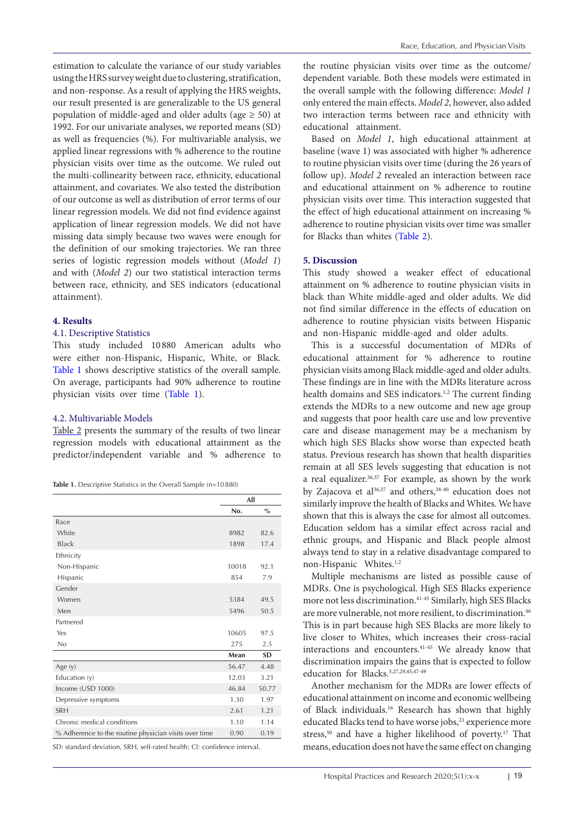estimation to calculate the variance of our study variables using the HRS survey weight due to clustering, stratification, and non-response. As a result of applying the HRS weights, our result presented is are generalizable to the US general population of middle-aged and older adults (age  $\geq$  50) at 1992. For our univariate analyses, we reported means (SD) as well as frequencies (%). For multivariable analysis, we applied linear regressions with % adherence to the routine physician visits over time as the outcome. We ruled out the multi-collinearity between race, ethnicity, educational attainment, and covariates. We also tested the distribution of our outcome as well as distribution of error terms of our linear regression models. We did not find evidence against application of linear regression models. We did not have missing data simply because two waves were enough for the definition of our smoking trajectories. We ran three series of logistic regression models without (*Model 1*) and with (*Model 2*) our two statistical interaction terms between race, ethnicity, and SES indicators (educational attainment).

#### **4. Results**

#### 4.1. Descriptive Statistics

This study included 10 880 American adults who were either non-Hispanic, Hispanic, White, or Black. [Table 1](#page-2-0) shows descriptive statistics of the overall sample. On average, participants had 90% adherence to routine physician visits over time [\(Table 1\)](#page-2-0).

## 4.2. Multivariable Models

[Table 2](#page-3-0) presents the summary of the results of two linear regression models with educational attainment as the predictor/independent variable and % adherence to

<span id="page-2-0"></span>

|  | Table 1. Descriptive Statistics in the Overall Sample (n=10880) |  |  |  |  |
|--|-----------------------------------------------------------------|--|--|--|--|
|--|-----------------------------------------------------------------|--|--|--|--|

|                                                       | All   |               |  |
|-------------------------------------------------------|-------|---------------|--|
|                                                       | No.   | $\frac{0}{0}$ |  |
| Race                                                  |       |               |  |
| White                                                 | 8982  | 82.6          |  |
| <b>Black</b>                                          | 1898  | 17.4          |  |
| Ethnicity                                             |       |               |  |
| Non-Hispanic                                          | 10018 | 92.1          |  |
| Hispanic                                              | 854   | 7.9           |  |
| Gender                                                |       |               |  |
| Women                                                 | 5384  | 49.5          |  |
| Men                                                   | 5496  | 50.5          |  |
| Partnered                                             |       |               |  |
| Yes                                                   | 10605 | 97.5          |  |
| No                                                    | 275   | 2.5           |  |
|                                                       | Mean  | <b>SD</b>     |  |
| Age (y)                                               | 56.47 | 4.48          |  |
| Education (y)                                         | 12.03 | 3.21          |  |
| Income (USD 1000)                                     | 46.84 | 50.77         |  |
| Depressive symptoms                                   | 1.30  | 1.97          |  |
| <b>SRH</b>                                            | 2.61  | 1.21          |  |
| Chronic medical conditions                            | 1.10  | 1.14          |  |
| % Adherence to the routine physician visits over time | 0.90  | 0.19          |  |

SD: standard deviation, SRH, self-rated health; CI: confidence interval.

the routine physician visits over time as the outcome/ dependent variable. Both these models were estimated in the overall sample with the following difference: *Model 1* only entered the main effects. *Model 2*, however, also added two interaction terms between race and ethnicity with educational attainment.

Based on *Model 1*, high educational attainment at baseline (wave 1) was associated with higher % adherence to routine physician visits over time (during the 26 years of follow up). *Model 2* revealed an interaction between race and educational attainment on % adherence to routine physician visits over time. This interaction suggested that the effect of high educational attainment on increasing % adherence to routine physician visits over time was smaller for Blacks than whites [\(Table 2](#page-3-0)).

#### **5. Discussion**

This study showed a weaker effect of educational attainment on % adherence to routine physician visits in black than White middle-aged and older adults. We did not find similar difference in the effects of education on adherence to routine physician visits between Hispanic and non-Hispanic middle-aged and older adults.

This is a successful documentation of MDRs of educational attainment for % adherence to routine physician visits among Black middle-aged and older adults. These findings are in line with the MDRs literature across health domains and SES indicators.<sup>1,2</sup> The current finding extends the MDRs to a new outcome and new age group and suggests that poor health care use and low preventive care and disease management may be a mechanism by which high SES Blacks show worse than expected heath status. Previous research has shown that health disparities remain at all SES levels suggesting that education is not a real equalizer. $36,37$  For example, as shown by the work by Zajacova et al<sup>36,37</sup> and others,<sup>38-40</sup> education does not similarly improve the health of Blacks and Whites. We have shown that this is always the case for almost all outcomes. Education seldom has a similar effect across racial and ethnic groups, and Hispanic and Black people almost always tend to stay in a relative disadvantage compared to non-Hispanic Whites.1,2

Multiple mechanisms are listed as possible cause of MDRs. One is psychological. High SES Blacks experience more not less discrimination.41-45 Similarly, high SES Blacks are more vulnerable, not more resilient, to discrimination.<sup>46</sup> This is in part because high SES Blacks are more likely to live closer to Whites, which increases their cross-racial interactions and encounters.41-45 We already know that discrimination impairs the gains that is expected to follow education for Blacks.3,27,29,45,47-49

Another mechanism for the MDRs are lower effects of educational attainment on income and economic wellbeing of Black individuals.16 Research has shown that highly educated Blacks tend to have worse jobs,<sup>21</sup> experience more stress,<sup>50</sup> and have a higher likelihood of poverty.<sup>17</sup> That means, education does not have the same effect on changing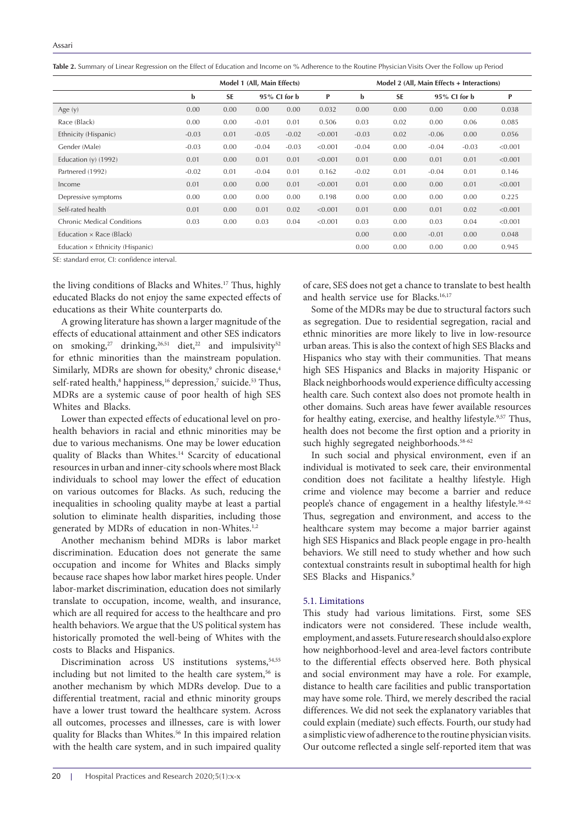<span id="page-3-0"></span>**Table 2.** Summary of Linear Regression on the Effect of Education and Income on % Adherence to the Routine Physician Visits Over the Follow up Period

|                                   | Model 1 (All, Main Effects) |           |                 |         | Model 2 (All, Main Effects + Interactions) |         |                              |         |              |         |
|-----------------------------------|-----------------------------|-----------|-----------------|---------|--------------------------------------------|---------|------------------------------|---------|--------------|---------|
|                                   | b                           | <b>SE</b> | $95\%$ CI for b |         | P                                          | b       | <b>SE</b><br>$95\%$ CI for b |         | $\mathbf{P}$ |         |
| Age $(y)$                         | 0.00                        | 0.00      | 0.00            | 0.00    | 0.032                                      | 0.00    | 0.00                         | 0.00    | 0.00         | 0.038   |
| Race (Black)                      | 0.00                        | 0.00      | $-0.01$         | 0.01    | 0.506                                      | 0.03    | 0.02                         | 0.00    | 0.06         | 0.085   |
| Ethnicity (Hispanic)              | $-0.03$                     | 0.01      | $-0.05$         | $-0.02$ | < 0.001                                    | $-0.03$ | 0.02                         | $-0.06$ | 0.00         | 0.056   |
| Gender (Male)                     | $-0.03$                     | 0.00      | $-0.04$         | $-0.03$ | < 0.001                                    | $-0.04$ | 0.00                         | $-0.04$ | $-0.03$      | < 0.001 |
| Education $(y)$ (1992)            | 0.01                        | 0.00      | 0.01            | 0.01    | < 0.001                                    | 0.01    | 0.00                         | 0.01    | 0.01         | < 0.001 |
| Partnered (1992)                  | $-0.02$                     | 0.01      | $-0.04$         | 0.01    | 0.162                                      | $-0.02$ | 0.01                         | $-0.04$ | 0.01         | 0.146   |
| Income                            | 0.01                        | 0.00      | 0.00            | 0.01    | < 0.001                                    | 0.01    | 0.00                         | 0.00    | 0.01         | < 0.001 |
| Depressive symptoms               | 0.00                        | 0.00      | 0.00            | 0.00    | 0.198                                      | 0.00    | 0.00                         | 0.00    | 0.00         | 0.225   |
| Self-rated health                 | 0.01                        | 0.00      | 0.01            | 0.02    | < 0.001                                    | 0.01    | 0.00                         | 0.01    | 0.02         | < 0.001 |
| <b>Chronic Medical Conditions</b> | 0.03                        | 0.00      | 0.03            | 0.04    | < 0.001                                    | 0.03    | 0.00                         | 0.03    | 0.04         | < 0.001 |
| Education $\times$ Race (Black)   |                             |           |                 |         |                                            | 0.00    | 0.00                         | $-0.01$ | 0.00         | 0.048   |
| Education × Ethnicity (Hispanic)  |                             |           |                 |         |                                            | 0.00    | 0.00                         | 0.00    | 0.00         | 0.945   |

SE: standard error, CI: confidence interval.

the living conditions of Blacks and Whites.<sup>17</sup> Thus, highly educated Blacks do not enjoy the same expected effects of educations as their White counterparts do.

A growing literature has shown a larger magnitude of the effects of educational attainment and other SES indicators on smoking,<sup>27</sup> drinking,<sup>26,51</sup> diet,<sup>22</sup> and impulsivity<sup>52</sup> for ethnic minorities than the mainstream population. Similarly, MDRs are shown for obesity,<sup>9</sup> chronic disease,<sup>4</sup> self-rated health,<sup>8</sup> happiness,<sup>16</sup> depression,<sup>7</sup> suicide.<sup>53</sup> Thus, MDRs are a systemic cause of poor health of high SES Whites and Blacks.

Lower than expected effects of educational level on prohealth behaviors in racial and ethnic minorities may be due to various mechanisms. One may be lower education quality of Blacks than Whites.<sup>14</sup> Scarcity of educational resources in urban and inner-city schools where most Black individuals to school may lower the effect of education on various outcomes for Blacks. As such, reducing the inequalities in schooling quality maybe at least a partial solution to eliminate health disparities, including those generated by MDRs of education in non-Whites.<sup>1,2</sup>

Another mechanism behind MDRs is labor market discrimination. Education does not generate the same occupation and income for Whites and Blacks simply because race shapes how labor market hires people. Under labor-market discrimination, education does not similarly translate to occupation, income, wealth, and insurance, which are all required for access to the healthcare and pro health behaviors. We argue that the US political system has historically promoted the well-being of Whites with the costs to Blacks and Hispanics.

Discrimination across US institutions systems, 54,55 including but not limited to the health care system, $56$  is another mechanism by which MDRs develop. Due to a differential treatment, racial and ethnic minority groups have a lower trust toward the healthcare system. Across all outcomes, processes and illnesses, care is with lower quality for Blacks than Whites.<sup>56</sup> In this impaired relation with the health care system, and in such impaired quality of care, SES does not get a chance to translate to best health and health service use for Blacks.<sup>16,17</sup>

Some of the MDRs may be due to structural factors such as segregation. Due to residential segregation, racial and ethnic minorities are more likely to live in low-resource urban areas. This is also the context of high SES Blacks and Hispanics who stay with their communities. That means high SES Hispanics and Blacks in majority Hispanic or Black neighborhoods would experience difficulty accessing health care. Such context also does not promote health in other domains. Such areas have fewer available resources for healthy eating, exercise, and healthy lifestyle.<sup>9,57</sup> Thus, health does not become the first option and a priority in such highly segregated neighborhoods.<sup>58-62</sup>

In such social and physical environment, even if an individual is motivated to seek care, their environmental condition does not facilitate a healthy lifestyle. High crime and violence may become a barrier and reduce people's chance of engagement in a healthy lifestyle.<sup>58-62</sup> Thus, segregation and environment, and access to the healthcare system may become a major barrier against high SES Hispanics and Black people engage in pro-health behaviors. We still need to study whether and how such contextual constraints result in suboptimal health for high SES Blacks and Hispanics.<sup>9</sup>

#### 5.1. Limitations

This study had various limitations. First, some SES indicators were not considered. These include wealth, employment, and assets. Future research should also explore how neighborhood-level and area-level factors contribute to the differential effects observed here. Both physical and social environment may have a role. For example, distance to health care facilities and public transportation may have some role. Third, we merely described the racial differences. We did not seek the explanatory variables that could explain (mediate) such effects. Fourth, our study had a simplistic view of adherence to the routine physician visits. Our outcome reflected a single self-reported item that was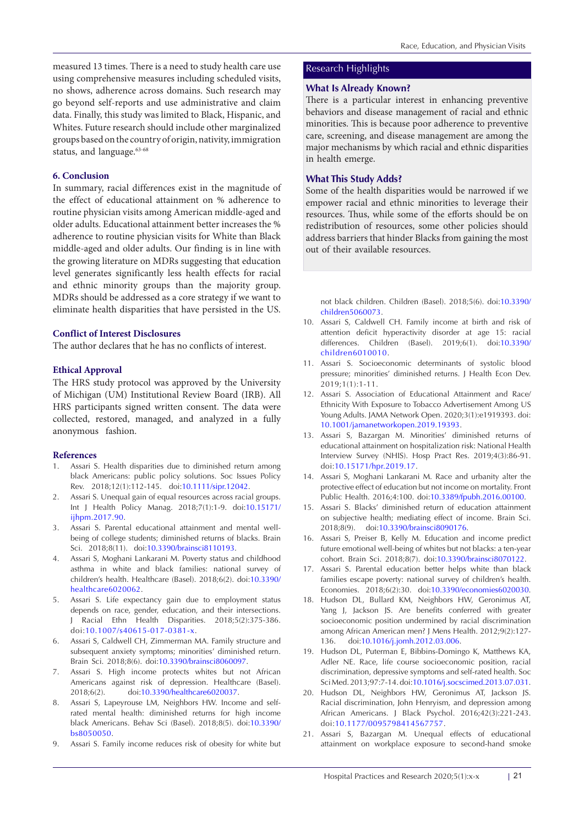measured 13 times. There is a need to study health care use using comprehensive measures including scheduled visits, no shows, adherence across domains. Such research may go beyond self-reports and use administrative and claim data. Finally, this study was limited to Black, Hispanic, and Whites. Future research should include other marginalized groups based on the country of origin, nativity, immigration status, and language.<sup>63-68</sup>

# **6. Conclusion**

In summary, racial differences exist in the magnitude of the effect of educational attainment on % adherence to routine physician visits among American middle-aged and older adults. Educational attainment better increases the % adherence to routine physician visits for White than Black middle-aged and older adults. Our finding is in line with the growing literature on MDRs suggesting that education level generates significantly less health effects for racial and ethnic minority groups than the majority group. MDRs should be addressed as a core strategy if we want to eliminate health disparities that have persisted in the US.

## **Conflict of Interest Disclosures**

The author declares that he has no conflicts of interest.

## **Ethical Approval**

The HRS study protocol was approved by the University of Michigan (UM) Institutional Review Board (IRB). All HRS participants signed written consent. The data were collected, restored, managed, and analyzed in a fully anonymous fashion.

#### **References**

- 1. Assari S. Health disparities due to diminished return among black Americans: public policy solutions. Soc Issues Policy Rev. 2018;12(1):112-145. doi:[10.1111/sipr.12042](https://doi.org/10.1111/sipr.12042).
- 2. Assari S. Unequal gain of equal resources across racial groups. Int J Health Policy Manag. 2018;7(1):1-9. doi:[10.15171/](https://doi.org/10.15171/ijhpm.2017.90) [ijhpm.2017.90.](https://doi.org/10.15171/ijhpm.2017.90)
- 3. Assari S. Parental educational attainment and mental wellbeing of college students; diminished returns of blacks. Brain Sci. 2018;8(11). doi:[10.3390/brainsci8110193](https://doi.org/10.3390/brainsci8110193).
- 4. Assari S, Moghani Lankarani M. Poverty status and childhood asthma in white and black families: national survey of children's health. Healthcare (Basel). 2018;6(2). doi[:10.3390/](https://doi.org/10.3390/healthcare6020062) [healthcare6020062.](https://doi.org/10.3390/healthcare6020062)
- 5. Assari S. Life expectancy gain due to employment status depends on race, gender, education, and their intersections. J Racial Ethn Health Disparities. 2018;5(2):375-386. doi:[10.1007/s40615-017-0381-x.](https://doi.org/10.1007/s40615-017-0381-x)
- 6. Assari S, Caldwell CH, Zimmerman MA. Family structure and subsequent anxiety symptoms; minorities' diminished return. Brain Sci. 2018;8(6). doi:[10.3390/brainsci8060097](https://doi.org/10.3390/brainsci8060097).
- 7. Assari S. High income protects whites but not African Americans against risk of depression. Healthcare (Basel). 2018;6(2). doi:[10.3390/healthcare6020037](https://doi.org/10.3390/healthcare6020037).
- 8. Assari S, Lapeyrouse LM, Neighbors HW. Income and selfrated mental health: diminished returns for high income black Americans. Behav Sci (Basel). 2018;8(5). doi[:10.3390/](https://doi.org/10.3390/bs8050050) [bs8050050.](https://doi.org/10.3390/bs8050050)
- 9. Assari S. Family income reduces risk of obesity for white but

# Research Highlights

## **What Is Already Known?**

There is a particular interest in enhancing preventive behaviors and disease management of racial and ethnic minorities. This is because poor adherence to preventive care, screening, and disease management are among the major mechanisms by which racial and ethnic disparities in health emerge.

# **What This Study Adds?**

Some of the health disparities would be narrowed if we empower racial and ethnic minorities to leverage their resources. Thus, while some of the efforts should be on redistribution of resources, some other policies should address barriers that hinder Blacks from gaining the most out of their available resources.

not black children. Children (Basel). 2018;5(6). doi[:10.3390/](https://doi.org/10.3390/children5060073) [children5060073.](https://doi.org/10.3390/children5060073)

- 10. Assari S, Caldwell CH. Family income at birth and risk of attention deficit hyperactivity disorder at age 15: racial differences. Children (Basel). 2019;6(1). doi[:10.3390/](https://doi.org/10.3390/children6010010) [children6010010.](https://doi.org/10.3390/children6010010)
- 11. Assari S. Socioeconomic determinants of systolic blood pressure; minorities' diminished returns. J Health Econ Dev. 2019;1(1):1-11.
- 12. Assari S. Association of Educational Attainment and Race/ Ethnicity With Exposure to Tobacco Advertisement Among US Young Adults. JAMA Network Open. 2020;3(1):e1919393. doi: [10.1001/jamanetworkopen.2019.19393.](https://doi.org/10.1001/jamanetworkopen.2019.19393)
- 13. Assari S, Bazargan M. Minorities' diminished returns of educational attainment on hospitalization risk: National Health Interview Survey (NHIS). Hosp Pract Res. 2019;4(3):86-91. doi[:10.15171/hpr.2019.17.](https://doi.org/10.15171/hpr.2019.17)
- 14. Assari S, Moghani Lankarani M. Race and urbanity alter the protective effect of education but not income on mortality. Front Public Health. 2016;4:100. doi:[10.3389/fpubh.2016.00100](https://doi.org/10.3389/fpubh.2016.00100).
- 15. Assari S. Blacks' diminished return of education attainment on subjective health; mediating effect of income. Brain Sci. 2018;8(9). doi[:10.3390/brainsci8090176.](https://doi.org/10.3390/brainsci8090176)
- 16. Assari S, Preiser B, Kelly M. Education and income predict future emotional well-being of whites but not blacks: a ten-year cohort. Brain Sci. 2018;8(7). doi:[10.3390/brainsci8070122.](https://doi.org/10.3390/brainsci8070122)
- 17. Assari S. Parental education better helps white than black families escape poverty: national survey of children's health. Economies. 2018;6(2):30. doi:[10.3390/economies6020030](https://doi.org/10.3390/economies6020030).
- 18. Hudson DL, Bullard KM, Neighbors HW, Geronimus AT, Yang J, Jackson JS. Are benefits conferred with greater socioeconomic position undermined by racial discrimination among African American men? J Mens Health. 2012;9(2):127- 136. doi[:10.1016/j.jomh.2012.03.006](https://doi.org/10.1016/j.jomh.2012.03.006).
- 19. Hudson DL, Puterman E, Bibbins-Domingo K, Matthews KA, Adler NE. Race, life course socioeconomic position, racial discrimination, depressive symptoms and self-rated health. Soc Sci Med. 2013;97:7-14. doi:[10.1016/j.socscimed.2013.07.031](https://doi.org/10.1016/j.socscimed.2013.07.031).
- 20. Hudson DL, Neighbors HW, Geronimus AT, Jackson JS. Racial discrimination, John Henryism, and depression among African Americans. J Black Psychol. 2016;42(3):221-243. doi:[10.1177/0095798414567757](https://doi.org/10.1177/0095798414567757).
- 21. Assari S, Bazargan M. Unequal effects of educational attainment on workplace exposure to second-hand smoke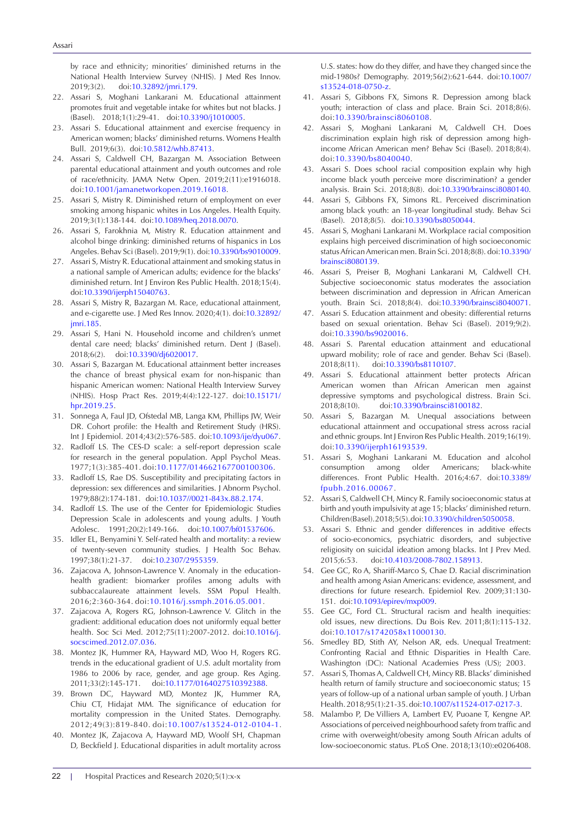by race and ethnicity; minorities' diminished returns in the National Health Interview Survey (NHIS). J Med Res Innov. 2019;3(2). doi[:10.32892/jmri.179](https://doi.org/10.32892/jmri.179).

- 22. Assari S, Moghani Lankarani M. Educational attainment promotes fruit and vegetable intake for whites but not blacks. J (Basel). 2018;1(1):29-41. doi[:10.3390/j1010005.](https://doi.org/10.3390/j1010005)
- 23. Assari S. Educational attainment and exercise frequency in American women; blacks' diminished returns. Womens Health Bull. 2019;6(3). doi:[10.5812/whb.87413](https://doi.org/10.5812/whb.87413).
- 24. Assari S, Caldwell CH, Bazargan M. Association Between parental educational attainment and youth outcomes and role of race/ethnicity. JAMA Netw Open. 2019;2(11):e1916018. doi:[10.1001/jamanetworkopen.2019.16018.](https://doi.org/10.1001/jamanetworkopen.2019.16018)
- 25. Assari S, Mistry R. Diminished return of employment on ever smoking among hispanic whites in Los Angeles. Health Equity. 2019;3(1):138-144. doi:[10.1089/heq.2018.0070.](https://doi.org/10.1089/heq.2018.0070)
- 26. Assari S, Farokhnia M, Mistry R. Education attainment and alcohol binge drinking: diminished returns of hispanics in Los Angeles. Behav Sci (Basel). 2019;9(1). doi[:10.3390/bs9010009](https://doi.org/10.3390/bs9010009).
- 27. Assari S, Mistry R. Educational attainment and smoking status in a national sample of American adults; evidence for the blacks' diminished return. Int J Environ Res Public Health. 2018;15(4). doi[:10.3390/ijerph15040763](https://doi.org/10.3390/ijerph15040763).
- 28. Assari S, Mistry R, Bazargan M. Race, educational attainment, and e-cigarette use. J Med Res Innov. 2020;4(1). doi:[10.32892/](https://doi.org/10.32892/jmri.185) [jmri.185](https://doi.org/10.32892/jmri.185).
- 29. Assari S, Hani N. Household income and children's unmet dental care need; blacks' diminished return. Dent J (Basel). 2018;6(2). doi:[10.3390/dj6020017.](https://doi.org/10.3390/dj6020017)
- 30. Assari S, Bazargan M. Educational attainment better increases the chance of breast physical exam for non-hispanic than hispanic American women: National Health Interview Survey (NHIS). Hosp Pract Res. 2019;4(4):122-127. doi:[10.15171/](https://doi.org/10.15171/hpr.2019.25) [hpr.2019.25.](https://doi.org/10.15171/hpr.2019.25)
- 31. Sonnega A, Faul JD, Ofstedal MB, Langa KM, Phillips JW, Weir DR. Cohort profile: the Health and Retirement Study (HRS). Int J Epidemiol. 2014;43(2):576-585. doi[:10.1093/ije/dyu067](https://doi.org/10.1093/ije/dyu067).
- 32. Radloff LS. The CES-D scale: a self-report depression scale for research in the general population. Appl Psychol Meas. 1977;1(3):385-401. doi:[10.1177/014662167700100306.](https://doi.org/10.1177/014662167700100306)
- 33. Radloff LS, Rae DS. Susceptibility and precipitating factors in depression: sex differences and similarities. J Abnorm Psychol. 1979;88(2):174-181. doi:[10.1037//0021-843x.88.2.174](https://doi.org/10.1037/0021-843x.88.2.174).
- 34. Radloff LS. The use of the Center for Epidemiologic Studies Depression Scale in adolescents and young adults. J Youth Adolesc. 1991;20(2):149-166. doi:[10.1007/bf01537606](https://doi.org/10.1007/bf01537606).
- 35. Idler EL, Benyamini Y. Self-rated health and mortality: a review of twenty-seven community studies. J Health Soc Behav. 1997;38(1):21-37. doi[:10.2307/2955359](https://doi.org/10.2307/2955359).
- 36. Zajacova A, Johnson-Lawrence V. Anomaly in the educationhealth gradient: biomarker profiles among adults with subbaccalaureate attainment levels. SSM Popul Health. 2016;2:360-364. doi:[10.1016/j.ssmph.2016.05.001.](https://doi.org/10.1016/j.ssmph.2016.05.001)
- 37. Zajacova A, Rogers RG, Johnson-Lawrence V. Glitch in the gradient: additional education does not uniformly equal better health. Soc Sci Med. 2012;75(11):2007-2012. doi:[10.1016/j.](https://doi.org/10.1016/j.socscimed.2012.07.036) [socscimed.2012.07.036](https://doi.org/10.1016/j.socscimed.2012.07.036).
- 38. Montez JK, Hummer RA, Hayward MD, Woo H, Rogers RG. trends in the educational gradient of U.S. adult mortality from 1986 to 2006 by race, gender, and age group. Res Aging. 2011;33(2):145-171. doi[:10.1177/0164027510392388.](https://doi.org/10.1177/0164027510392388)
- 39. Brown DC, Hayward MD, Montez JK, Hummer RA, Chiu CT, Hidajat MM. The significance of education for mortality compression in the United States. Demography. 2012;49(3):819-840. doi:[10.1007/s13524-012-0104-1.](https://doi.org/10.1007/s13524-012-0104-1)
- 40. Montez JK, Zajacova A, Hayward MD, Woolf SH, Chapman D, Beckfield J. Educational disparities in adult mortality across

U.S. states: how do they differ, and have they changed since the mid-1980s? Demography. 2019;56(2):621-644. doi[:10.1007/](https://doi.org/10.1007/s13524-018-0750-z) [s13524-018-0750-z](https://doi.org/10.1007/s13524-018-0750-z).

- 41. Assari S, Gibbons FX, Simons R. Depression among black youth; interaction of class and place. Brain Sci. 2018;8(6). doi:[10.3390/brainsci8060108](https://doi.org/10.3390/brainsci8060108).
- 42. Assari S, Moghani Lankarani M, Caldwell CH. Does discrimination explain high risk of depression among highincome African American men? Behav Sci (Basel). 2018;8(4). doi:[10.3390/bs8040040](https://doi.org/10.3390/bs8040040).
- 43. Assari S. Does school racial composition explain why high income black youth perceive more discrimination? a gender analysis. Brain Sci. 2018;8(8). doi:[10.3390/brainsci8080140](https://doi.org/10.3390/brainsci8080140).
- 44. Assari S, Gibbons FX, Simons RL. Perceived discrimination among black youth: an 18-year longitudinal study. Behav Sci (Basel). 2018;8(5). doi[:10.3390/bs8050044](https://doi.org/10.3390/bs8050044).
- 45. Assari S, Moghani Lankarani M. Workplace racial composition explains high perceived discrimination of high socioeconomic status African American men. Brain Sci. 2018;8(8). doi[:10.3390/](https://doi.org/10.3390/brainsci8080139) [brainsci8080139.](https://doi.org/10.3390/brainsci8080139)
- 46. Assari S, Preiser B, Moghani Lankarani M, Caldwell CH. Subjective socioeconomic status moderates the association between discrimination and depression in African American youth. Brain Sci. 2018;8(4). doi:[10.3390/brainsci8040071](https://doi.org/10.3390/brainsci8040071).
- 47. Assari S. Education attainment and obesity: differential returns based on sexual orientation. Behav Sci (Basel). 2019;9(2). doi:[10.3390/bs9020016](https://doi.org/10.3390/bs9020016).
- 48. Assari S. Parental education attainment and educational upward mobility; role of race and gender. Behav Sci (Basel). 2018;8(11). doi[:10.3390/bs8110107.](https://doi.org/10.3390/bs8110107)
- 49. Assari S. Educational attainment better protects African American women than African American men against depressive symptoms and psychological distress. Brain Sci. 2018;8(10). doi:[10.3390/brainsci8100182.](https://doi.org/10.3390/brainsci8100182)
- 50. Assari S, Bazargan M. Unequal associations between educational attainment and occupational stress across racial and ethnic groups. Int J Environ Res Public Health. 2019;16(19). doi[:10.3390/ijerph16193539.](https://doi.org/10.3390/ijerph16193539)
- 51. Assari S, Moghani Lankarani M. Education and alcohol consumption among older Americans; black-white differences. Front Public Health. 2016;4:67. doi[:10.3389/](https://doi.org/10.3389/fpubh.2016.00067) [fpubh.2016.00067.](https://doi.org/10.3389/fpubh.2016.00067)
- 52. Assari S, Caldwell CH, Mincy R. Family socioeconomic status at birth and youth impulsivity at age 15; blacks' diminished return. Children (Basel). 2018;5(5). doi:[10.3390/children5050058.](https://doi.org/10.3390/children5050058)
- 53. Assari S. Ethnic and gender differences in additive effects of socio-economics, psychiatric disorders, and subjective religiosity on suicidal ideation among blacks. Int J Prev Med. 2015;6:53. doi:[10.4103/2008-7802.158913.](https://doi.org/10.4103/2008-7802.158913)
- 54. Gee GC, Ro A, Shariff-Marco S, Chae D. Racial discrimination and health among Asian Americans: evidence, assessment, and directions for future research. Epidemiol Rev. 2009;31:130- 151. doi:[10.1093/epirev/mxp009.](https://doi.org/10.1093/epirev/mxp009)
- 55. Gee GC, Ford CL. Structural racism and health inequities: old issues, new directions. Du Bois Rev. 2011;8(1):115-132. doi[:10.1017/s1742058x11000130.](https://doi.org/10.1017/s1742058x11000130)
- 56. Smedley BD, Stith AY, Nelson AR, eds. Unequal Treatment: Confronting Racial and Ethnic Disparities in Health Care. Washington (DC): National Academies Press (US); 2003.
- 57. Assari S, Thomas A, Caldwell CH, Mincy RB. Blacks' diminished health return of family structure and socioeconomic status; 15 years of follow-up of a national urban sample of youth. J Urban Health. 2018;95(1):21-35. doi[:10.1007/s11524-017-0217-3.](https://doi.org/10.1007/s11524-017-0217-3)
- 58. Malambo P, De Villiers A, Lambert EV, Puoane T, Kengne AP. Associations of perceived neighbourhood safety from traffic and crime with overweight/obesity among South African adults of low-socioeconomic status. PLoS One. 2018;13(10):e0206408.